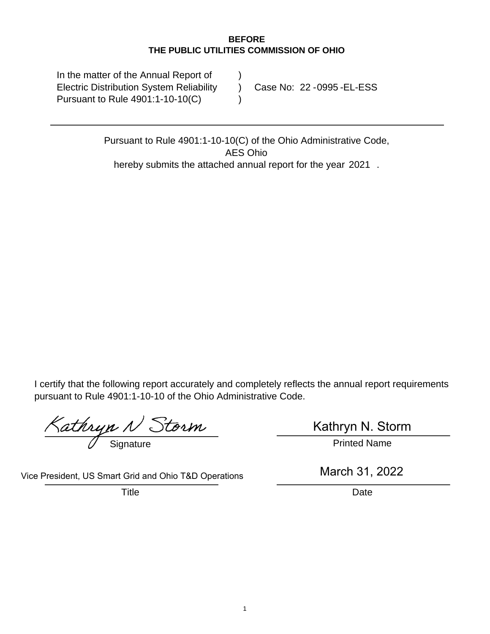#### **BEFORE THE PUBLIC UTILITIES COMMISSION OF OHIO**

In the matter of the Annual Report of Electric Distribution System Reliability Pursuant to Rule 4901:1-10-10(C) ) ) ) Case No: 22 - 0995 - EL-ESS

> Pursuant to Rule 4901:1-10-10(C) of the Ohio Administrative Code, hereby submits the attached annual report for the year 2021. AES Ohio

I certify that the following report accurately and completely reflects the annual report requirements pursuant to Rule 4901:1-10-10 of the Ohio Administrative Code.

 $\frac{Kathryn \mathcal{N} Storn}{Signature}$  Kathryn N. Sto

Kathryn N. Storm

Vice President, US Smart Grid and Ohio T&D Operations

Title **Date** 

March 31, 2022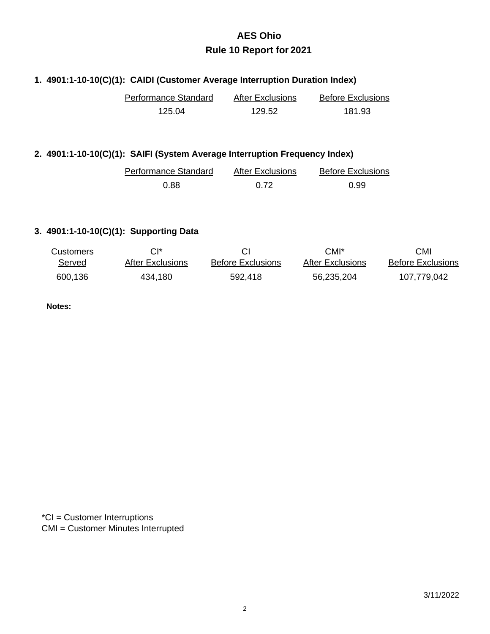#### **1. 4901:1-10-10(C)(1): CAIDI (Customer Average Interruption Duration Index)**

| Performance Standard | <b>After Exclusions</b> | <b>Before Exclusions</b> |  |
|----------------------|-------------------------|--------------------------|--|
| 125.04               | 129.52                  | 181.93                   |  |

#### **2. 4901:1-10-10(C)(1): SAIFI (System Average Interruption Frequency Index)**

| Performance Standard | <b>After Exclusions</b> | <b>Before Exclusions</b> |
|----------------------|-------------------------|--------------------------|
| 0.88                 | 0.72                    | 0.99                     |

#### **3. 4901:1-10-10(C)(1): Supporting Data**

| <b>Customers</b> | $Cl^*$           |                          | CMI*             | CMI                      |
|------------------|------------------|--------------------------|------------------|--------------------------|
| Served           | After Exclusions | <b>Before Exclusions</b> | After Exclusions | <b>Before Exclusions</b> |
| 600,136          | 434,180          | 592,418                  | 56,235,204       | 107,779,042              |

**Notes:**

\*CI = Customer Interruptions CMI = Customer Minutes Interrupted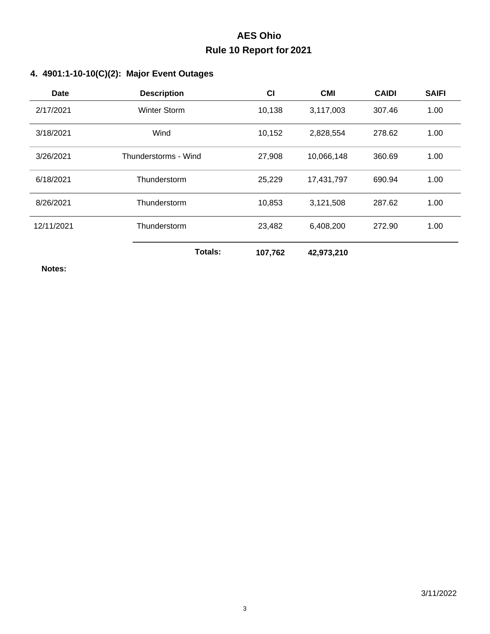#### **4. 4901:1-10-10(C)(2): Major Event Outages**

| Date       | <b>Description</b>   | <b>CI</b> | <b>CMI</b> | <b>CAIDI</b> | <b>SAIFI</b> |
|------------|----------------------|-----------|------------|--------------|--------------|
| 2/17/2021  | <b>Winter Storm</b>  | 10,138    | 3,117,003  | 307.46       | 1.00         |
| 3/18/2021  | Wind                 | 10,152    | 2,828,554  | 278.62       | 1.00         |
| 3/26/2021  | Thunderstorms - Wind | 27,908    | 10,066,148 | 360.69       | 1.00         |
| 6/18/2021  | Thunderstorm         | 25,229    | 17,431,797 | 690.94       | 1.00         |
| 8/26/2021  | Thunderstorm         | 10,853    | 3,121,508  | 287.62       | 1.00         |
| 12/11/2021 | Thunderstorm         | 23,482    | 6,408,200  | 272.90       | 1.00         |
|            | Totals:              | 107,762   | 42,973,210 |              |              |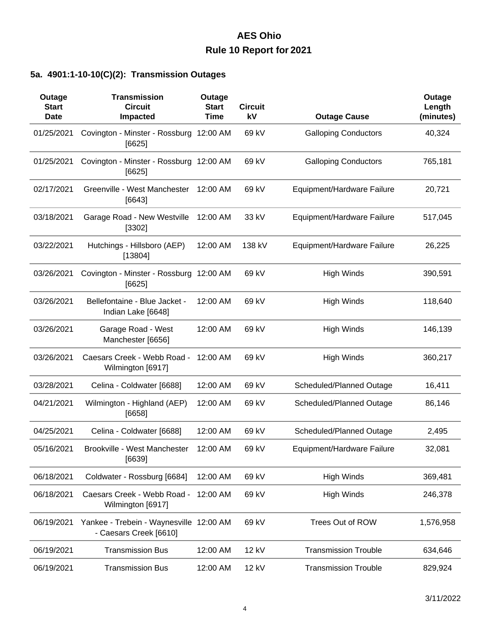### **5a. 4901:1-10-10(C)(2): Transmission Outages**

| Outage<br><b>Start</b><br><b>Date</b> | <b>Transmission</b><br><b>Circuit</b><br>Impacted                 | Outage<br><b>Start</b><br><b>Time</b> | <b>Circuit</b><br>kV | <b>Outage Cause</b>         | Outage<br>Length<br>(minutes) |
|---------------------------------------|-------------------------------------------------------------------|---------------------------------------|----------------------|-----------------------------|-------------------------------|
| 01/25/2021                            | Covington - Minster - Rossburg 12:00 AM<br>[6625]                 |                                       | 69 kV                | <b>Galloping Conductors</b> | 40,324                        |
| 01/25/2021                            | Covington - Minster - Rossburg 12:00 AM<br>$[6625]$               |                                       | 69 kV                | <b>Galloping Conductors</b> | 765,181                       |
| 02/17/2021                            | Greenville - West Manchester<br>[6643]                            | 12:00 AM                              | 69 kV                | Equipment/Hardware Failure  | 20,721                        |
| 03/18/2021                            | Garage Road - New Westville<br>[3302]                             | 12:00 AM                              | 33 kV                | Equipment/Hardware Failure  | 517,045                       |
| 03/22/2021                            | Hutchings - Hillsboro (AEP)<br>[13804]                            | 12:00 AM                              | 138 kV               | Equipment/Hardware Failure  | 26,225                        |
| 03/26/2021                            | Covington - Minster - Rossburg 12:00 AM<br>[6625]                 |                                       | 69 kV                | <b>High Winds</b>           | 390,591                       |
| 03/26/2021                            | Bellefontaine - Blue Jacket -<br>Indian Lake [6648]               | 12:00 AM                              | 69 kV                | <b>High Winds</b>           | 118,640                       |
| 03/26/2021                            | Garage Road - West<br>Manchester [6656]                           | 12:00 AM                              | 69 kV                | <b>High Winds</b>           | 146,139                       |
| 03/26/2021                            | Caesars Creek - Webb Road -<br>Wilmington [6917]                  | 12:00 AM                              | 69 kV                | <b>High Winds</b>           | 360,217                       |
| 03/28/2021                            | Celina - Coldwater [6688]                                         | 12:00 AM                              | 69 kV                | Scheduled/Planned Outage    | 16,411                        |
| 04/21/2021                            | Wilmington - Highland (AEP)<br>[6658]                             | 12:00 AM                              | 69 kV                | Scheduled/Planned Outage    | 86,146                        |
| 04/25/2021                            | Celina - Coldwater [6688]                                         | 12:00 AM                              | 69 kV                | Scheduled/Planned Outage    | 2,495                         |
| 05/16/2021                            | Brookville - West Manchester<br>[6639]                            | 12:00 AM                              | 69 kV                | Equipment/Hardware Failure  | 32,081                        |
| 06/18/2021                            | Coldwater - Rossburg [6684]                                       | 12:00 AM                              | 69 kV                | <b>High Winds</b>           | 369,481                       |
| 06/18/2021                            | Caesars Creek - Webb Road - 12:00 AM<br>Wilmington [6917]         |                                       | 69 kV                | <b>High Winds</b>           | 246,378                       |
| 06/19/2021                            | Yankee - Trebein - Waynesville 12:00 AM<br>- Caesars Creek [6610] |                                       | 69 kV                | Trees Out of ROW            | 1,576,958                     |
| 06/19/2021                            | <b>Transmission Bus</b>                                           | 12:00 AM                              | 12 kV                | <b>Transmission Trouble</b> | 634,646                       |
| 06/19/2021                            | <b>Transmission Bus</b>                                           | 12:00 AM                              | 12 kV                | <b>Transmission Trouble</b> | 829,924                       |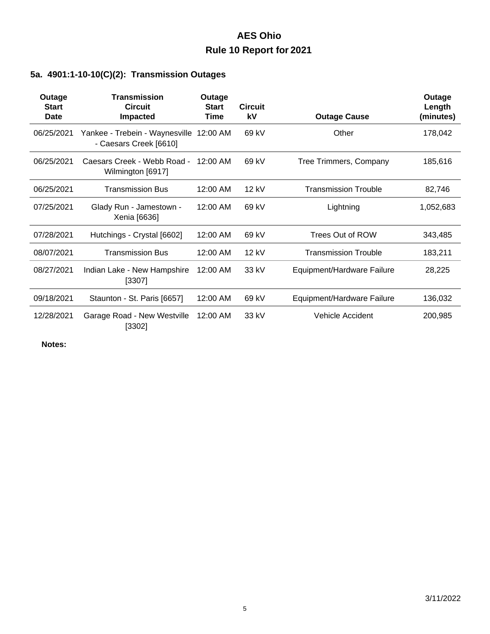### **5a. 4901:1-10-10(C)(2): Transmission Outages**

| Outage<br><b>Start</b><br>Date | <b>Transmission</b><br><b>Circuit</b><br><b>Impacted</b>          | Outage<br><b>Start</b><br>Time | <b>Circuit</b><br>kV | <b>Outage Cause</b>         | Outage<br>Length<br>(minutes) |
|--------------------------------|-------------------------------------------------------------------|--------------------------------|----------------------|-----------------------------|-------------------------------|
| 06/25/2021                     | Yankee - Trebein - Waynesville 12:00 AM<br>- Caesars Creek [6610] |                                | 69 kV                | Other                       | 178,042                       |
| 06/25/2021                     | Caesars Creek - Webb Road -<br>Wilmington [6917]                  | $12:00$ AM                     | 69 kV                | Tree Trimmers, Company      | 185,616                       |
| 06/25/2021                     | <b>Transmission Bus</b>                                           | 12:00 AM                       | $12$ kV              | <b>Transmission Trouble</b> | 82,746                        |
| 07/25/2021                     | Glady Run - Jamestown -<br>Xenia [6636]                           | 12:00 AM                       | 69 kV                | Lightning                   | 1,052,683                     |
| 07/28/2021                     | Hutchings - Crystal [6602]                                        | 12:00 AM                       | 69 kV                | Trees Out of ROW            | 343,485                       |
| 08/07/2021                     | <b>Transmission Bus</b>                                           | 12:00 AM                       | 12 kV                | <b>Transmission Trouble</b> | 183,211                       |
| 08/27/2021                     | Indian Lake - New Hampshire<br>[3307]                             | 12:00 AM                       | 33 kV                | Equipment/Hardware Failure  | 28,225                        |
| 09/18/2021                     | Staunton - St. Paris [6657]                                       | 12:00 AM                       | 69 kV                | Equipment/Hardware Failure  | 136,032                       |
| 12/28/2021                     | Garage Road - New Westville<br>[3302]                             | 12:00 AM                       | 33 kV                | <b>Vehicle Accident</b>     | 200,985                       |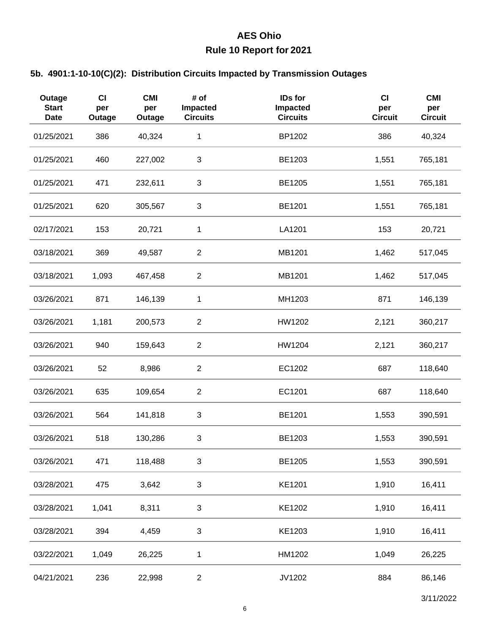#### **5b. 4901:1-10-10(C)(2): Distribution Circuits Impacted by Transmission Outages**

| Outage<br><b>Start</b><br><b>Date</b> | <b>CI</b><br>per<br>Outage | <b>CMI</b><br>per<br>Outage | # of<br>Impacted<br><b>Circuits</b> | IDs for<br>Impacted<br><b>Circuits</b> | CI<br>per<br><b>Circuit</b> | <b>CMI</b><br>per<br><b>Circuit</b> |
|---------------------------------------|----------------------------|-----------------------------|-------------------------------------|----------------------------------------|-----------------------------|-------------------------------------|
| 01/25/2021                            | 386                        | 40,324                      | 1                                   | BP1202                                 | 386                         | 40,324                              |
| 01/25/2021                            | 460                        | 227,002                     | 3                                   | BE1203                                 | 1,551                       | 765,181                             |
| 01/25/2021                            | 471                        | 232,611                     | 3                                   | BE1205                                 | 1,551                       | 765,181                             |
| 01/25/2021                            | 620                        | 305,567                     | 3                                   | BE1201                                 | 1,551                       | 765,181                             |
| 02/17/2021                            | 153                        | 20,721                      | 1                                   | LA1201                                 | 153                         | 20,721                              |
| 03/18/2021                            | 369                        | 49,587                      | $\overline{c}$                      | MB1201                                 | 1,462                       | 517,045                             |
| 03/18/2021                            | 1,093                      | 467,458                     | $\overline{2}$                      | MB1201                                 | 1,462                       | 517,045                             |
| 03/26/2021                            | 871                        | 146,139                     | 1                                   | MH1203                                 | 871                         | 146,139                             |
| 03/26/2021                            | 1,181                      | 200,573                     | $\overline{2}$                      | HW1202                                 | 2,121                       | 360,217                             |
| 03/26/2021                            | 940                        | 159,643                     | $\overline{2}$                      | HW1204                                 | 2,121                       | 360,217                             |
| 03/26/2021                            | 52                         | 8,986                       | $\overline{2}$                      | EC1202                                 | 687                         | 118,640                             |
| 03/26/2021                            | 635                        | 109,654                     | $\overline{2}$                      | EC1201                                 | 687                         | 118,640                             |
| 03/26/2021                            | 564                        | 141,818                     | 3                                   | BE1201                                 | 1,553                       | 390,591                             |
| 03/26/2021                            | 518                        | 130,286                     | 3                                   | BE1203                                 | 1,553                       | 390,591                             |
| 03/26/2021                            | 471                        | 118,488                     | 3                                   | BE1205                                 | 1,553                       | 390,591                             |
| 03/28/2021                            | 475                        | 3,642                       | $\sqrt{3}$                          | KE1201                                 | 1,910                       | 16,411                              |
| 03/28/2021                            | 1,041                      | 8,311                       | 3                                   | KE1202                                 | 1,910                       | 16,411                              |
| 03/28/2021                            | 394                        | 4,459                       | $\sqrt{3}$                          | KE1203                                 | 1,910                       | 16,411                              |
| 03/22/2021                            | 1,049                      | 26,225                      | 1                                   | HM1202                                 | 1,049                       | 26,225                              |
| 04/21/2021                            | 236                        | 22,998                      | $\overline{2}$                      | JV1202                                 | 884                         | 86,146                              |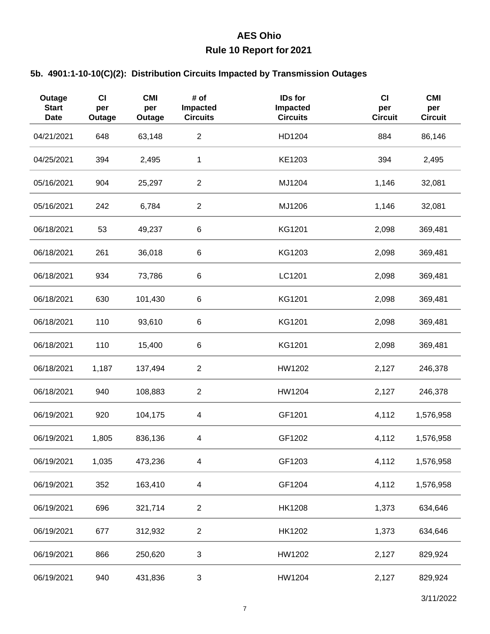#### **5b. 4901:1-10-10(C)(2): Distribution Circuits Impacted by Transmission Outages**

| Outage<br><b>Start</b><br><b>Date</b> | <b>CI</b><br>per<br>Outage | <b>CMI</b><br>per<br>Outage | # of<br>Impacted<br><b>Circuits</b> | IDs for<br>Impacted<br><b>Circuits</b> | CI<br>per<br><b>Circuit</b> | <b>CMI</b><br>per<br><b>Circuit</b> |
|---------------------------------------|----------------------------|-----------------------------|-------------------------------------|----------------------------------------|-----------------------------|-------------------------------------|
| 04/21/2021                            | 648                        | 63,148                      | $\sqrt{2}$                          | HD1204                                 | 884                         | 86,146                              |
| 04/25/2021                            | 394                        | 2,495                       | 1                                   | KE1203                                 | 394                         | 2,495                               |
| 05/16/2021                            | 904                        | 25,297                      | $\overline{2}$                      | MJ1204                                 | 1,146                       | 32,081                              |
| 05/16/2021                            | 242                        | 6,784                       | $\overline{c}$                      | MJ1206                                 | 1,146                       | 32,081                              |
| 06/18/2021                            | 53                         | 49,237                      | $\,6$                               | KG1201                                 | 2,098                       | 369,481                             |
| 06/18/2021                            | 261                        | 36,018                      | 6                                   | KG1203                                 | 2,098                       | 369,481                             |
| 06/18/2021                            | 934                        | 73,786                      | $\,6$                               | LC1201                                 | 2,098                       | 369,481                             |
| 06/18/2021                            | 630                        | 101,430                     | 6                                   | KG1201                                 | 2,098                       | 369,481                             |
| 06/18/2021                            | 110                        | 93,610                      | 6                                   | KG1201                                 | 2,098                       | 369,481                             |
| 06/18/2021                            | 110                        | 15,400                      | 6                                   | KG1201                                 | 2,098                       | 369,481                             |
| 06/18/2021                            | 1,187                      | 137,494                     | $\sqrt{2}$                          | HW1202                                 | 2,127                       | 246,378                             |
| 06/18/2021                            | 940                        | 108,883                     | $\overline{2}$                      | HW1204                                 | 2,127                       | 246,378                             |
| 06/19/2021                            | 920                        | 104,175                     | 4                                   | GF1201                                 | 4,112                       | 1,576,958                           |
| 06/19/2021                            | 1,805                      | 836,136                     | 4                                   | GF1202                                 | 4,112                       | 1,576,958                           |
| 06/19/2021                            | 1,035                      | 473,236                     | 4                                   | GF1203                                 | 4,112                       | 1,576,958                           |
| 06/19/2021                            | 352                        | 163,410                     | $\overline{\mathbf{4}}$             | GF1204                                 | 4,112                       | 1,576,958                           |
| 06/19/2021                            | 696                        | 321,714                     | $\overline{2}$                      | <b>HK1208</b>                          | 1,373                       | 634,646                             |
| 06/19/2021                            | 677                        | 312,932                     | $\overline{2}$                      | HK1202                                 | 1,373                       | 634,646                             |
| 06/19/2021                            | 866                        | 250,620                     | 3                                   | HW1202                                 | 2,127                       | 829,924                             |
| 06/19/2021                            | 940                        | 431,836                     | 3                                   | HW1204                                 | 2,127                       | 829,924                             |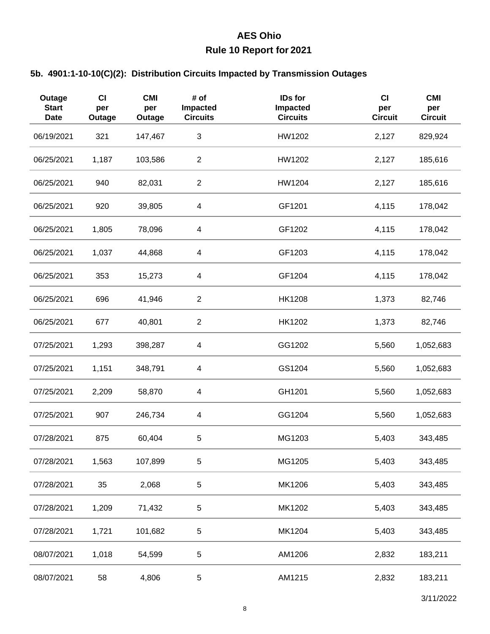#### **5b. 4901:1-10-10(C)(2): Distribution Circuits Impacted by Transmission Outages**

| Outage<br><b>Start</b><br><b>Date</b> | CI<br>per<br>Outage | <b>CMI</b><br>per<br>Outage | # of<br>Impacted<br><b>Circuits</b> | <b>IDs for</b><br>Impacted<br><b>Circuits</b> | CI<br>per<br><b>Circuit</b> | <b>CMI</b><br>per<br><b>Circuit</b> |
|---------------------------------------|---------------------|-----------------------------|-------------------------------------|-----------------------------------------------|-----------------------------|-------------------------------------|
| 06/19/2021                            | 321                 | 147,467                     | $\ensuremath{\mathsf{3}}$           | HW1202                                        | 2,127                       | 829,924                             |
| 06/25/2021                            | 1,187               | 103,586                     | $\overline{2}$                      | HW1202                                        | 2,127                       | 185,616                             |
| 06/25/2021                            | 940                 | 82,031                      | $\overline{2}$                      | HW1204                                        | 2,127                       | 185,616                             |
| 06/25/2021                            | 920                 | 39,805                      | $\overline{\mathbf{4}}$             | GF1201                                        | 4,115                       | 178,042                             |
| 06/25/2021                            | 1,805               | 78,096                      | $\overline{\mathbf{4}}$             | GF1202                                        | 4,115                       | 178,042                             |
| 06/25/2021                            | 1,037               | 44,868                      | $\overline{\mathbf{4}}$             | GF1203                                        | 4,115                       | 178,042                             |
| 06/25/2021                            | 353                 | 15,273                      | $\overline{\mathbf{4}}$             | GF1204                                        | 4,115                       | 178,042                             |
| 06/25/2021                            | 696                 | 41,946                      | $\overline{c}$                      | <b>HK1208</b>                                 | 1,373                       | 82,746                              |
| 06/25/2021                            | 677                 | 40,801                      | $\overline{c}$                      | HK1202                                        | 1,373                       | 82,746                              |
| 07/25/2021                            | 1,293               | 398,287                     | $\overline{\mathbf{4}}$             | GG1202                                        | 5,560                       | 1,052,683                           |
| 07/25/2021                            | 1,151               | 348,791                     | $\overline{\mathbf{4}}$             | GS1204                                        | 5,560                       | 1,052,683                           |
| 07/25/2021                            | 2,209               | 58,870                      | $\overline{\mathbf{4}}$             | GH1201                                        | 5,560                       | 1,052,683                           |
| 07/25/2021                            | 907                 | 246,734                     | $\overline{\mathbf{4}}$             | GG1204                                        | 5,560                       | 1,052,683                           |
| 07/28/2021                            | 875                 | 60,404                      | 5                                   | MG1203                                        | 5,403                       | 343,485                             |
| 07/28/2021                            | 1,563               | 107,899                     | 5                                   | MG1205                                        | 5,403                       | 343,485                             |
| 07/28/2021                            | 35                  | 2,068                       | $\sqrt{5}$                          | MK1206                                        | 5,403                       | 343,485                             |
| 07/28/2021                            | 1,209               | 71,432                      | 5                                   | MK1202                                        | 5,403                       | 343,485                             |
| 07/28/2021                            | 1,721               | 101,682                     | 5                                   | MK1204                                        | 5,403                       | 343,485                             |
| 08/07/2021                            | 1,018               | 54,599                      | 5                                   | AM1206                                        | 2,832                       | 183,211                             |
| 08/07/2021                            | 58                  | 4,806                       | 5                                   | AM1215                                        | 2,832                       | 183,211                             |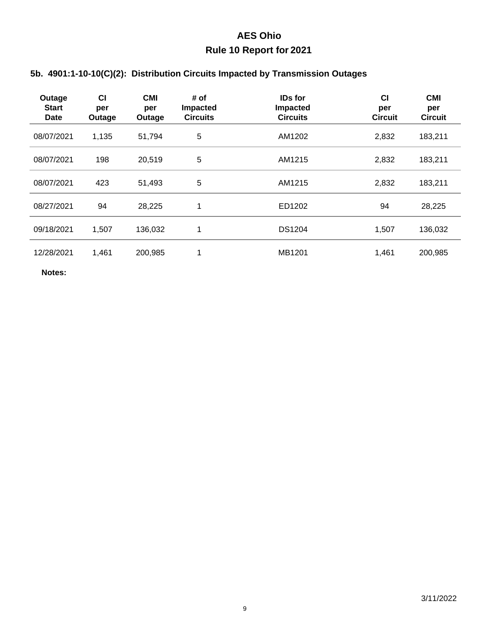### **5b. 4901:1-10-10(C)(2): Distribution Circuits Impacted by Transmission Outages**

| Outage<br><b>Start</b><br><b>Date</b> | <b>CI</b><br>per<br>Outage | <b>CMI</b><br>per<br>Outage | # of<br>Impacted<br><b>Circuits</b> | <b>IDs for</b><br>Impacted<br><b>Circuits</b> | <b>CI</b><br>per<br><b>Circuit</b> | <b>CMI</b><br>per<br><b>Circuit</b> |
|---------------------------------------|----------------------------|-----------------------------|-------------------------------------|-----------------------------------------------|------------------------------------|-------------------------------------|
| 08/07/2021                            | 1,135                      | 51,794                      | 5                                   | AM1202                                        | 2,832                              | 183,211                             |
| 08/07/2021                            | 198                        | 20,519                      | 5                                   | AM1215                                        | 2,832                              | 183,211                             |
| 08/07/2021                            | 423                        | 51,493                      | 5                                   | AM1215                                        | 2,832                              | 183,211                             |
| 08/27/2021                            | 94                         | 28,225                      | 1                                   | ED1202                                        | 94                                 | 28,225                              |
| 09/18/2021                            | 1,507                      | 136,032                     | 1                                   | <b>DS1204</b>                                 | 1,507                              | 136,032                             |
| 12/28/2021                            | 1,461                      | 200,985                     | 4                                   | MB1201                                        | 1,461                              | 200,985                             |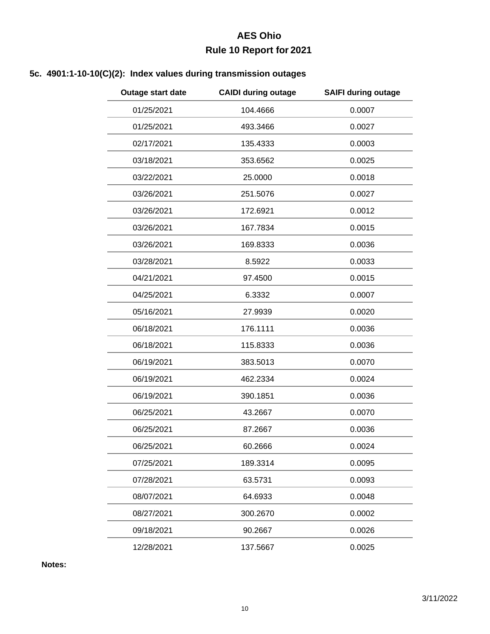### **5c. 4901:1-10-10(C)(2): Index values during transmission outages**

| Outage start date | <b>CAIDI during outage</b> | <b>SAIFI during outage</b> |
|-------------------|----------------------------|----------------------------|
| 01/25/2021        | 104.4666                   | 0.0007                     |
| 01/25/2021        | 493.3466                   | 0.0027                     |
| 02/17/2021        | 135.4333                   | 0.0003                     |
| 03/18/2021        | 353.6562                   | 0.0025                     |
| 03/22/2021        | 25.0000                    | 0.0018                     |
| 03/26/2021        | 251.5076                   | 0.0027                     |
| 03/26/2021        | 172.6921                   | 0.0012                     |
| 03/26/2021        | 167.7834                   | 0.0015                     |
| 03/26/2021        | 169.8333                   | 0.0036                     |
| 03/28/2021        | 8.5922                     | 0.0033                     |
| 04/21/2021        | 97.4500                    | 0.0015                     |
| 04/25/2021        | 6.3332                     | 0.0007                     |
| 05/16/2021        | 27.9939                    | 0.0020                     |
| 06/18/2021        | 176.1111                   | 0.0036                     |
| 06/18/2021        | 115.8333                   | 0.0036                     |
| 06/19/2021        | 383.5013                   | 0.0070                     |
| 06/19/2021        | 462.2334                   | 0.0024                     |
| 06/19/2021        | 390.1851                   | 0.0036                     |
| 06/25/2021        | 43.2667                    | 0.0070                     |
| 06/25/2021        | 87.2667                    | 0.0036                     |
| 06/25/2021        | 60.2666                    | 0.0024                     |
| 07/25/2021        | 189.3314                   | 0.0095                     |
| 07/28/2021        | 63.5731                    | 0.0093                     |
| 08/07/2021        | 64.6933                    | 0.0048                     |
| 08/27/2021        | 300.2670                   | 0.0002                     |
| 09/18/2021        | 90.2667                    | 0.0026                     |
| 12/28/2021        | 137.5667                   | 0.0025                     |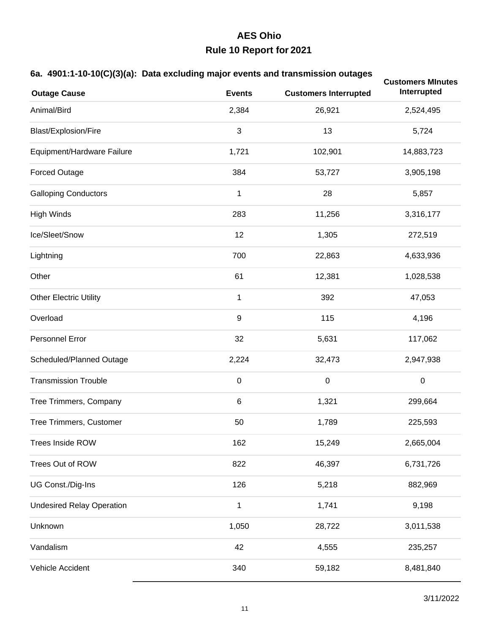#### **6a. 4901:1-10-10(C)(3)(a): Data excluding major events and transmission outages**

| $\sum_{i=1}^{n}$                 |                  | -ອ~                          | <b>Customers Minutes</b> |
|----------------------------------|------------------|------------------------------|--------------------------|
| <b>Outage Cause</b>              | <b>Events</b>    | <b>Customers Interrupted</b> | Interrupted              |
| Animal/Bird                      | 2,384            | 26,921                       | 2,524,495                |
| Blast/Explosion/Fire             | $\sqrt{3}$       | 13                           | 5,724                    |
| Equipment/Hardware Failure       | 1,721            | 102,901                      | 14,883,723               |
| <b>Forced Outage</b>             | 384              | 53,727                       | 3,905,198                |
| <b>Galloping Conductors</b>      | $\mathbf{1}$     | 28                           | 5,857                    |
| <b>High Winds</b>                | 283              | 11,256                       | 3,316,177                |
| Ice/Sleet/Snow                   | 12               | 1,305                        | 272,519                  |
| Lightning                        | 700              | 22,863                       | 4,633,936                |
| Other                            | 61               | 12,381                       | 1,028,538                |
| <b>Other Electric Utility</b>    | $\mathbf{1}$     | 392                          | 47,053                   |
| Overload                         | $\boldsymbol{9}$ | 115                          | 4,196                    |
| Personnel Error                  | 32               | 5,631                        | 117,062                  |
| Scheduled/Planned Outage         | 2,224            | 32,473                       | 2,947,938                |
| <b>Transmission Trouble</b>      | $\,0\,$          | $\boldsymbol{0}$             | $\,0\,$                  |
| Tree Trimmers, Company           | 6                | 1,321                        | 299,664                  |
| Tree Trimmers, Customer          | 50               | 1,789                        | 225,593                  |
| Trees Inside ROW                 | 162              | 15,249                       | 2,665,004                |
| Trees Out of ROW                 | 822              | 46,397                       | 6,731,726                |
| UG Const./Dig-Ins                | 126              | 5,218                        | 882,969                  |
| <b>Undesired Relay Operation</b> | $\mathbf{1}$     | 1,741                        | 9,198                    |
| Unknown                          | 1,050            | 28,722                       | 3,011,538                |
| Vandalism                        | 42               | 4,555                        | 235,257                  |
| Vehicle Accident                 | 340              | 59,182                       | 8,481,840                |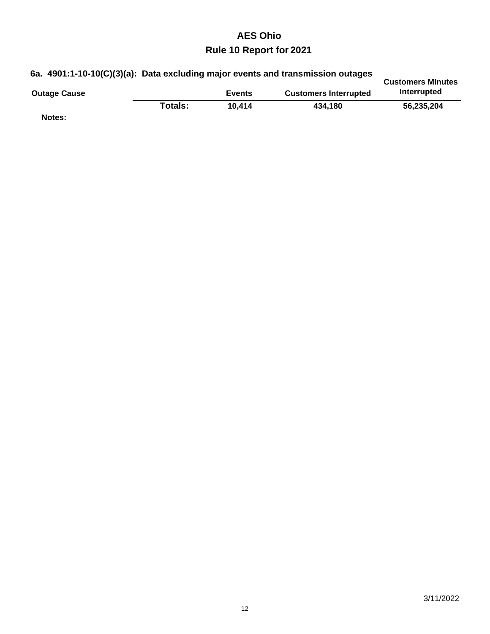|                     | 6a. 4901:1-10-10(C)(3)(a): Data excluding major events and transmission outages |               |                              |                                         |
|---------------------|---------------------------------------------------------------------------------|---------------|------------------------------|-----------------------------------------|
| <b>Outage Cause</b> |                                                                                 | <b>Events</b> | <b>Customers Interrupted</b> | <b>Customers Minutes</b><br>Interrupted |
|                     | Totals:                                                                         | 10.414        | 434.180                      | 56,235,204                              |
| Notes:              |                                                                                 |               |                              |                                         |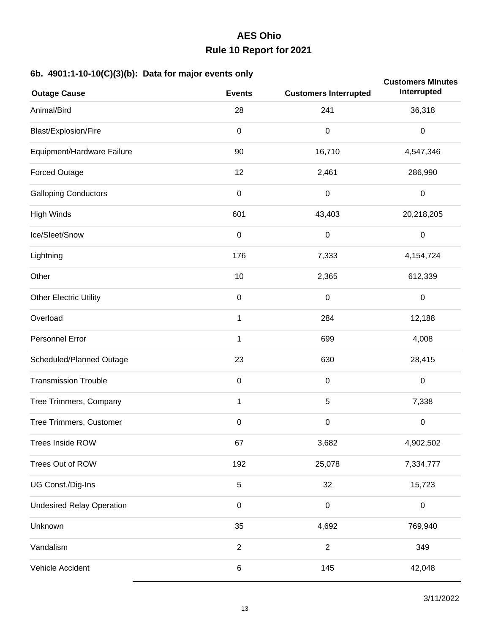#### **6b. 4901:1-10-10(C)(3)(b): Data for major events only**

| $-1 - 1 - 1 - 1$<br><b>Outage Cause</b> | <b>Events</b>  | <b>Customers Interrupted</b> | <b>Customers Minutes</b><br>Interrupted |
|-----------------------------------------|----------------|------------------------------|-----------------------------------------|
| Animal/Bird                             | 28             | 241                          | 36,318                                  |
| Blast/Explosion/Fire                    | $\pmb{0}$      | $\boldsymbol{0}$             | $\pmb{0}$                               |
| Equipment/Hardware Failure              | 90             | 16,710                       | 4,547,346                               |
| <b>Forced Outage</b>                    | 12             | 2,461                        | 286,990                                 |
| <b>Galloping Conductors</b>             | $\mathbf 0$    | $\mathbf 0$                  | $\mathbf 0$                             |
| <b>High Winds</b>                       | 601            | 43,403                       | 20,218,205                              |
| Ice/Sleet/Snow                          | $\mathbf 0$    | $\boldsymbol{0}$             | $\pmb{0}$                               |
| Lightning                               | 176            | 7,333                        | 4,154,724                               |
| Other                                   | 10             | 2,365                        | 612,339                                 |
| <b>Other Electric Utility</b>           | $\mathbf 0$    | $\boldsymbol{0}$             | $\pmb{0}$                               |
| Overload                                | $\mathbf{1}$   | 284                          | 12,188                                  |
| Personnel Error                         | 1              | 699                          | 4,008                                   |
| Scheduled/Planned Outage                | 23             | 630                          | 28,415                                  |
| <b>Transmission Trouble</b>             | $\mathbf 0$    | $\boldsymbol{0}$             | $\,0\,$                                 |
| Tree Trimmers, Company                  | $\mathbf{1}$   | 5                            | 7,338                                   |
| Tree Trimmers, Customer                 | $\mathbf 0$    | $\boldsymbol{0}$             | $\,0\,$                                 |
| Trees Inside ROW                        | 67             | 3,682                        | 4,902,502                               |
| Trees Out of ROW                        | 192            | 25,078                       | 7,334,777                               |
| UG Const./Dig-Ins                       | $\mathbf 5$    | 32                           | 15,723                                  |
| <b>Undesired Relay Operation</b>        | $\mathbf 0$    | $\mathbf 0$                  | $\pmb{0}$                               |
| Unknown                                 | 35             | 4,692                        | 769,940                                 |
| Vandalism                               | $\overline{2}$ | $\overline{2}$               | 349                                     |
| Vehicle Accident                        | $\,6$          | 145                          | 42,048                                  |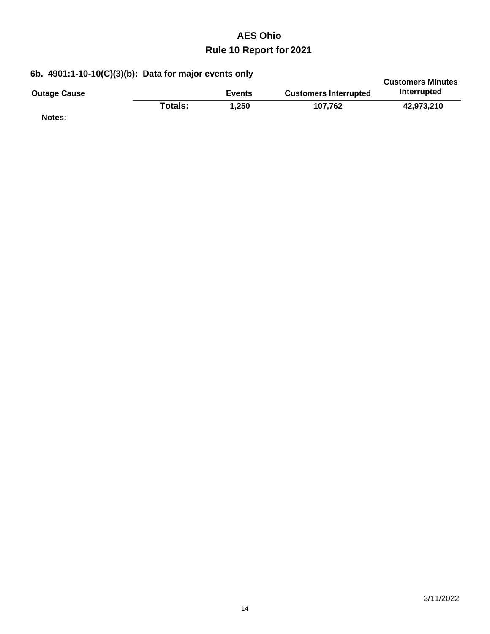|  |  | 6b. 4901:1-10-10(C)(3)(b): Data for major events only |  |
|--|--|-------------------------------------------------------|--|
|--|--|-------------------------------------------------------|--|

| 00. 4301.1°TU IU(G)(3)(D). Data IUI Majur Events Only |         |               |                              | <b>Customers Minutes</b> |
|-------------------------------------------------------|---------|---------------|------------------------------|--------------------------|
| <b>Outage Cause</b>                                   |         | <b>Events</b> | <b>Customers Interrupted</b> | Interrupted              |
|                                                       | Totals: | 1.250         | 107.762                      | 42.973.210               |
| Notes:                                                |         |               |                              |                          |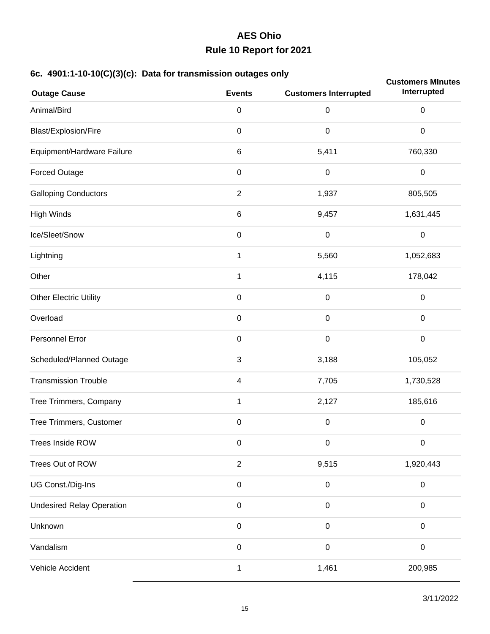### **6c. 4901:1-10-10(C)(3)(c): Data for transmission outages only**

| $\cdots$ $\cdots$ $\cdots$ $\cdots$ $\cdots$<br><b>Outage Cause</b> | <b>Events</b>           | <b>Customers Interrupted</b> | <b>Customers Minutes</b><br>Interrupted |
|---------------------------------------------------------------------|-------------------------|------------------------------|-----------------------------------------|
| Animal/Bird                                                         | $\pmb{0}$               | $\mathbf 0$                  | $\pmb{0}$                               |
| Blast/Explosion/Fire                                                | $\pmb{0}$               | $\boldsymbol{0}$             | $\boldsymbol{0}$                        |
| Equipment/Hardware Failure                                          | $\,6$                   | 5,411                        | 760,330                                 |
| <b>Forced Outage</b>                                                | $\mathbf 0$             | $\boldsymbol{0}$             | $\pmb{0}$                               |
| <b>Galloping Conductors</b>                                         | $\sqrt{2}$              | 1,937                        | 805,505                                 |
| <b>High Winds</b>                                                   | $\,6$                   | 9,457                        | 1,631,445                               |
| Ice/Sleet/Snow                                                      | $\mathbf 0$             | $\boldsymbol{0}$             | $\pmb{0}$                               |
| Lightning                                                           | $\mathbf{1}$            | 5,560                        | 1,052,683                               |
| Other                                                               | $\mathbf{1}$            | 4,115                        | 178,042                                 |
| <b>Other Electric Utility</b>                                       | $\mathbf 0$             | $\boldsymbol{0}$             | $\pmb{0}$                               |
| Overload                                                            | $\mathbf 0$             | $\mathbf 0$                  | $\pmb{0}$                               |
| Personnel Error                                                     | $\pmb{0}$               | $\mathbf 0$                  | $\pmb{0}$                               |
| Scheduled/Planned Outage                                            | 3                       | 3,188                        | 105,052                                 |
| <b>Transmission Trouble</b>                                         | $\overline{\mathbf{4}}$ | 7,705                        | 1,730,528                               |
| Tree Trimmers, Company                                              | $\mathbf{1}$            | 2,127                        | 185,616                                 |
| Tree Trimmers, Customer                                             | $\mathbf 0$             | $\boldsymbol{0}$             | $\pmb{0}$                               |
| <b>Trees Inside ROW</b>                                             | $\pmb{0}$               | 0                            | 0                                       |
| Trees Out of ROW                                                    | $\sqrt{2}$              | 9,515                        | 1,920,443                               |
| UG Const./Dig-Ins                                                   | $\mathbf 0$             | $\mathbf 0$                  | $\pmb{0}$                               |
| <b>Undesired Relay Operation</b>                                    | $\mathbf 0$             | $\boldsymbol{0}$             | $\pmb{0}$                               |
| Unknown                                                             | $\mathbf 0$             | $\mathbf 0$                  | $\pmb{0}$                               |
| Vandalism                                                           | $\mathbf 0$             | $\boldsymbol{0}$             | $\pmb{0}$                               |
| Vehicle Accident                                                    | 1                       | 1,461                        | 200,985                                 |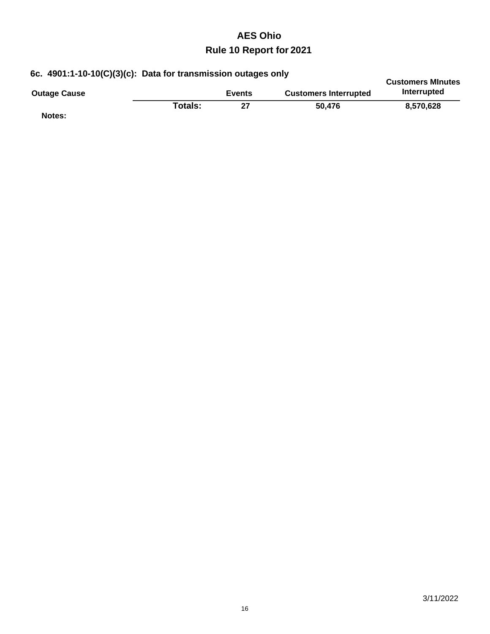| 6c. 4901:1-10-10(C)(3)(c): Data for transmission outages only |         |               |                              | <b>Customers Minutes</b> |
|---------------------------------------------------------------|---------|---------------|------------------------------|--------------------------|
| <b>Outage Cause</b>                                           |         | <b>Events</b> | <b>Customers Interrupted</b> | Interrupted              |
| Notes:                                                        | Totals: | 27            | 50.476                       | 8.570.628                |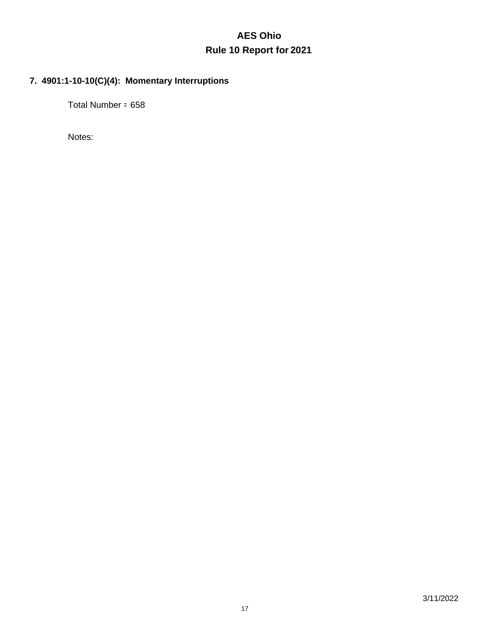### **7. 4901:1-10-10(C)(4): Momentary Interruptions**

658 Total Number =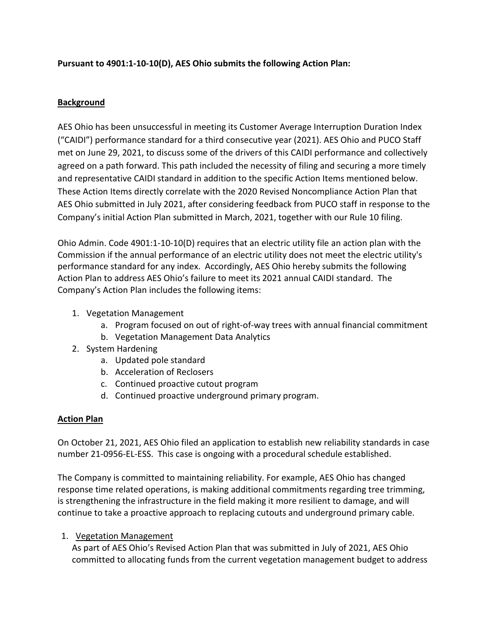**Pursuant to 4901:1-10-10(D), AES Ohio submits the following Action Plan:**

#### **Background**

AES Ohio has been unsuccessful in meeting its Customer Average Interruption Duration Index ("CAIDI") performance standard for a third consecutive year (2021). AES Ohio and PUCO Staff met on June 29, 2021, to discuss some of the drivers of this CAIDI performance and collectively agreed on a path forward. This path included the necessity of filing and securing a more timely and representative CAIDI standard in addition to the specific Action Items mentioned below. These Action Items directly correlate with the 2020 Revised Noncompliance Action Plan that AES Ohio submitted in July 2021, after considering feedback from PUCO staff in response to the Company's initial Action Plan submitted in March, 2021, together with our Rule 10 filing.

Ohio Admin. Code 4901:1-10-10(D) requires that an electric utility file an action plan with the Commission if the annual performance of an electric utility does not meet the electric utility's performance standard for any index. Accordingly, AES Ohio hereby submits the following Action Plan to address AES Ohio's failure to meet its 2021 annual CAIDI standard. The Company's Action Plan includes the following items:

- 1. Vegetation Management
	- a. Program focused on out of right-of-way trees with annual financial commitment
	- b. Vegetation Management Data Analytics
- 2. System Hardening
	- a. Updated pole standard
	- b. Acceleration of Reclosers
	- c. Continued proactive cutout program
	- d. Continued proactive underground primary program.

#### **Action Plan**

On October 21, 2021, AES Ohio filed an application to establish new reliability standards in case number 21-0956-EL-ESS. This case is ongoing with a procedural schedule established.

The Company is committed to maintaining reliability. For example, AES Ohio has changed response time related operations, is making additional commitments regarding tree trimming, is strengthening the infrastructure in the field making it more resilient to damage, and will continue to take a proactive approach to replacing cutouts and underground primary cable.

#### 1. Vegetation Management

As part of AES Ohio's Revised Action Plan that was submitted in July of 2021, AES Ohio committed to allocating funds from the current vegetation management budget to address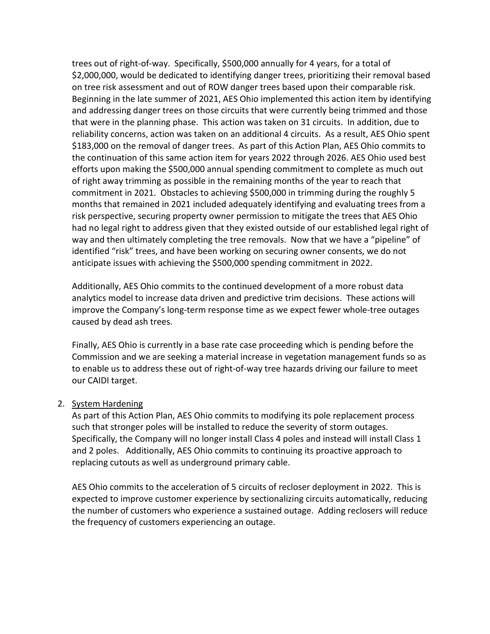trees out of right-of-way. Specifically, \$500,000 annually for 4 years, for a total of \$2,000,000, would be dedicated to identifying danger trees, prioritizing their removal based on tree risk assessment and out of ROW danger trees based upon their comparable risk. Beginning in the late summer of 2021, AES Ohio implemented this action item by identifying and addressing danger trees on those circuits that were currently being trimmed and those that were in the planning phase. This action was taken on 31 circuits. In addition, due to reliability concerns, action was taken on an additional 4 circuits. As a result, AES Ohio spent \$183,000 on the removal of danger trees. As part of this Action Plan, AES Ohio commits to the continuation of this same action item for years 2022 through 2026. AES Ohio used best efforts upon making the \$500,000 annual spending commitment to complete as much out of right away trimming as possible in the remaining months of the year to reach that commitment in 2021. Obstacles to achieving \$500,000 in trimming during the roughly 5 months that remained in 2021 included adequately identifying and evaluating trees from a risk perspective, securing property owner permission to mitigate the trees that AES Ohio had no legal right to address given that they existed outside of our established legal right of way and then ultimately completing the tree removals. Now that we have a "pipeline" of identified "risk" trees, and have been working on securing owner consents, we do not anticipate issues with achieving the \$500,000 spending commitment in 2022.

Additionally, AES Ohio commits to the continued development of a more robust data analytics model to increase data driven and predictive trim decisions. These actions will improve the Company's long-term response time as we expect fewer whole-tree outages caused by dead ash trees.

Finally, AES Ohio is currently in a base rate case proceeding which is pending before the Commission and we are seeking a material increase in vegetation management funds so as to enable us to address these out of right-of-way tree hazards driving our failure to meet our CAIDI target.

#### 2. System Hardening

As part of this Action Plan, AES Ohio commits to modifying its pole replacement process such that stronger poles will be installed to reduce the severity of storm outages. Specifically, the Company will no longer install Class 4 poles and instead will install Class 1 and 2 poles. Additionally, AES Ohio commits to continuing its proactive approach to replacing cutouts as well as underground primary cable.

AES Ohio commits to the acceleration of 5 circuits of recloser deployment in 2022. This is expected to improve customer experience by sectionalizing circuits automatically, reducing the number of customers who experience a sustained outage. Adding reclosers will reduce the frequency of customers experiencing an outage.